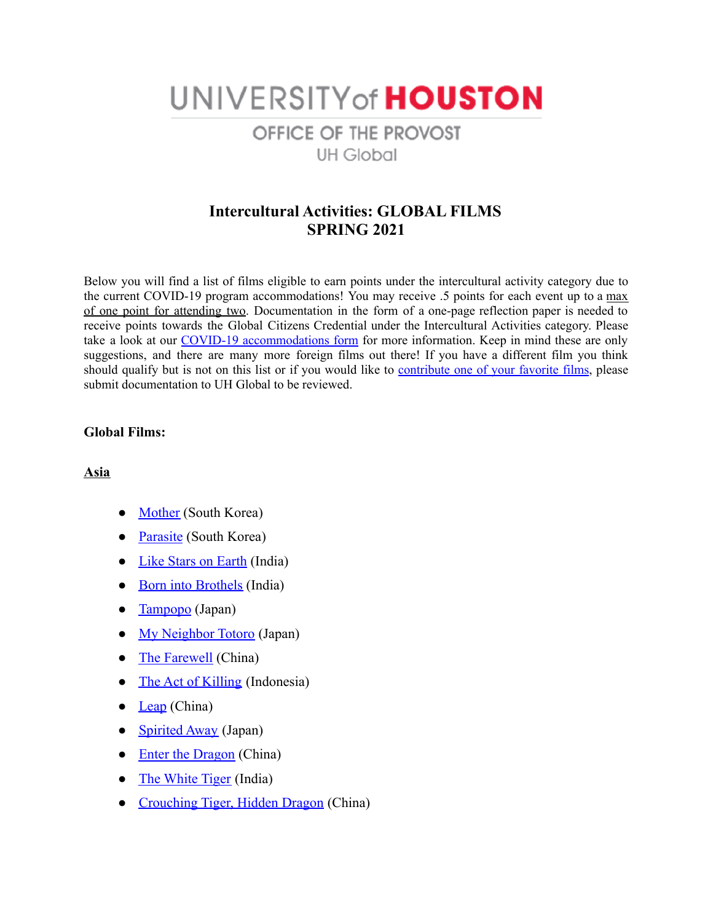# UNIVERSITY of HOUSTON OFFICE OF THE PROVOST **UH Global**

# **Intercultural Activities: GLOBAL FILMS SPRING 2021**

Below you will find a list of films eligible to earn points under the intercultural activity category due to the current COVID-19 program accommodations! You may receive .5 points for each event up to a max of one point for attending two. Documentation in the form of a one-page reflection paper is needed to receive points towards the Global Citizens Credential under the Intercultural Activities category. Please take a look at our COVID-19 [accommodations](https://uh.edu/provost/university/global/_documents/gcc-covid-19-accommodations-spring-2021-final1.pdf) form for more information. Keep in mind these are only suggestions, and there are many more foreign films out there! If you have a different film you think should qualify but is not on this list or if you would like to [contribute](https://forms.gle/Pk96g5dMuQHtcD9M9) one of your favorite films, please submit documentation to UH Global to be reviewed.

#### **Global Films:**

#### **Asia**

- [Mother](https://www.imdb.com/title/tt1216496/?ref_=fn_al_tt_2) (South Korea)
- [Parasite](https://www.imdb.com/title/tt6751668/?ref_=nv_sr_srsg_0) (South Korea)
- [Like Stars on Earth](https://www.imdb.com/title/tt0986264/?ref_=fn_al_tt_1) (India)
- [Born into Brothels](https://www.imdb.com/title/tt0388789/?ref_=nv_sr_srsg_0) (India)
- [Tampopo](https://www.imdb.com/title/tt0092048/?ref_=nv_sr_srsg_0) (Japan)
- [My Neighbor Totoro](https://www.imdb.com/title/tt0096283/?ref_=nv_sr_srsg_0) (Japan)
- [The Farewell](https://www.imdb.com/title/tt8637428/?ref_=nv_sr_srsg_0) (China)
- [The Act of Killing](https://www.imdb.com/title/tt2375605/?ref_=nv_sr_srsg_0) (Indonesia)
- [Leap](https://www.imdb.com/title/tt10670442/) (China)
- [Spirited Away](https://www.imdb.com/title/tt0245429/?ref_=fn_al_tt_1) (Japan)
- [Enter the Dragon](https://www.imdb.com/title/tt0070034/?ref_=fn_al_tt_1) (China)
- [The White Tiger](https://www.imdb.com/title/tt6571548/?ref_=fn_al_tt_1) (India)
- [Crouching Tiger, Hidden Dragon](https://www.imdb.com/title/tt0190332/?ref_=nv_sr_srsg_0) (China)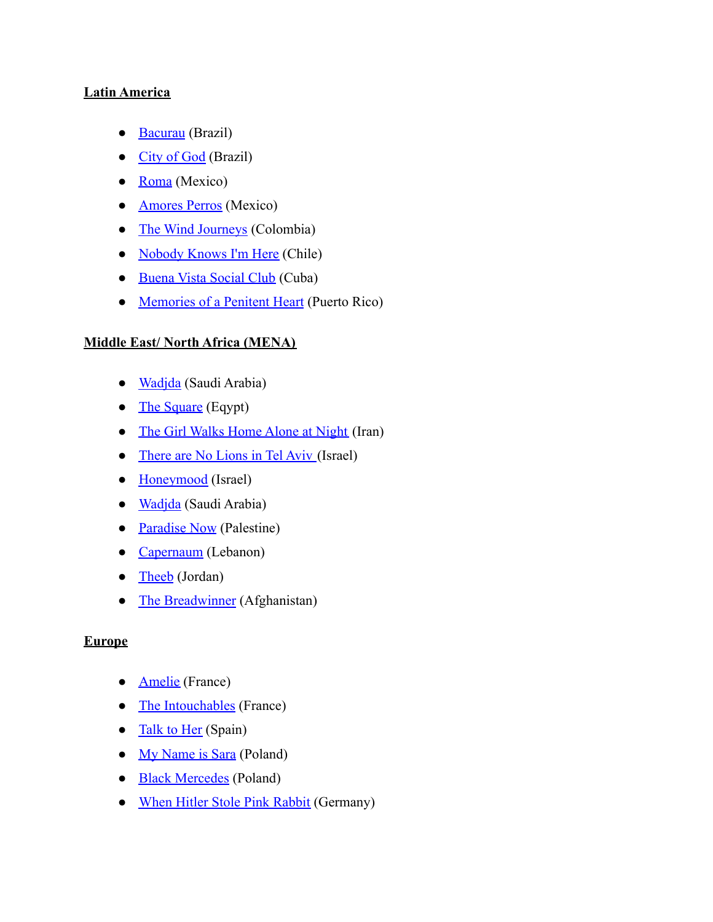### **Latin America**

- [Bacurau](https://www.imdb.com/title/tt2762506/?ref_=nv_sr_srsg_0) (Brazil)
- [City of God](https://www.imdb.com/title/tt0317248/?ref_=nv_sr_srsg_0) (Brazil)
- $\bullet$  [Roma](https://www.imdb.com/title/tt6155172/?ref_=nv_sr_srsg_2) (Mexico)
- **[Amores Perros](https://www.imdb.com/title/tt0245712/?ref_=nv_sr_srsg_0)** (Mexico)
- [The Wind Journeys](https://www.imdb.com/title/tt1426374/?ref_=nv_sr_srsg_0) (Colombia)
- [Nobody Knows I'm Here](https://www.imdb.com/title/tt10728764/?ref_=nv_sr_srsg_0) (Chile)
- [Buena Vista Social Club](https://www.imdb.com/title/tt0186508/?ref_=nv_sr_srsg_0) (Cuba)
- [Memories of a Penitent Heart](https://www.imdb.com/title/tt5092708/?ref_=nv_sr_srsg_0) (Puerto Rico)

## **Middle East/ North Africa (MENA)**

- [Wadjda](https://www.imdb.com/title/tt2258858/?ref_=nv_sr_srsg_0) (Saudi Arabia)
- [The Square](https://www.imdb.com/title/tt2486682/?ref_=nv_sr_srsg_8) (Eqypt)
- [The Girl Walks Home Alone at Night](https://www.imdb.com/title/tt2326554/?ref_=nv_sr_srsg_0) (Iran)
- [There are No Lions in Tel Aviv](https://www.imdb.com/title/tt10451838/?ref_=nv_sr_srsg_0) (Israel)
- [Honeymood](https://www.imdb.com/title/tt11905730/?ref_=fn_al_tt_1) (Israel)
- [Wadjda](https://www.imdb.com/title/tt2258858/?ref_=nv_sr_srsg_0) (Saudi Arabia)
- [Paradise Now](https://www.imdb.com/title/tt0445620/?ref_=nv_sr_srsg_0) (Palestine)
- [Capernaum](https://www.imdb.com/title/tt8267604/?ref_=nv_sr_srsg_0) (Lebanon)
- [Theeb](https://www.imdb.com/title/tt3170902/?ref_=nv_sr_srsg_0) (Jordan)
- [The Breadwinner](https://www.imdb.com/title/tt3901826/?ref_=nv_sr_srsg_0) (Afghanistan)

## **Europe**

- **[Amelie](https://www.imdb.com/title/tt0211915/?ref_=nv_sr_srsg_0)** (France)
- [The Intouchables](https://www.imdb.com/title/tt1675434/?ref_=nv_sr_srsg_0) (France)
- [Talk to Her](https://www.imdb.com/title/tt0287467/?ref_=nv_sr_srsg_0) (Spain)
- [My Name is Sara](https://www.imdb.com/title/tt6819310/?ref_=fn_al_tt_1) (Poland)
- [Black Mercedes](https://www.imdb.com/title/tt9823170/?ref_=nv_sr_srsg_0) (Poland)
- [When Hitler Stole Pink Rabbit](https://www.imdb.com/title/tt9106672/?ref_=nv_sr_srsg_0) (Germany)